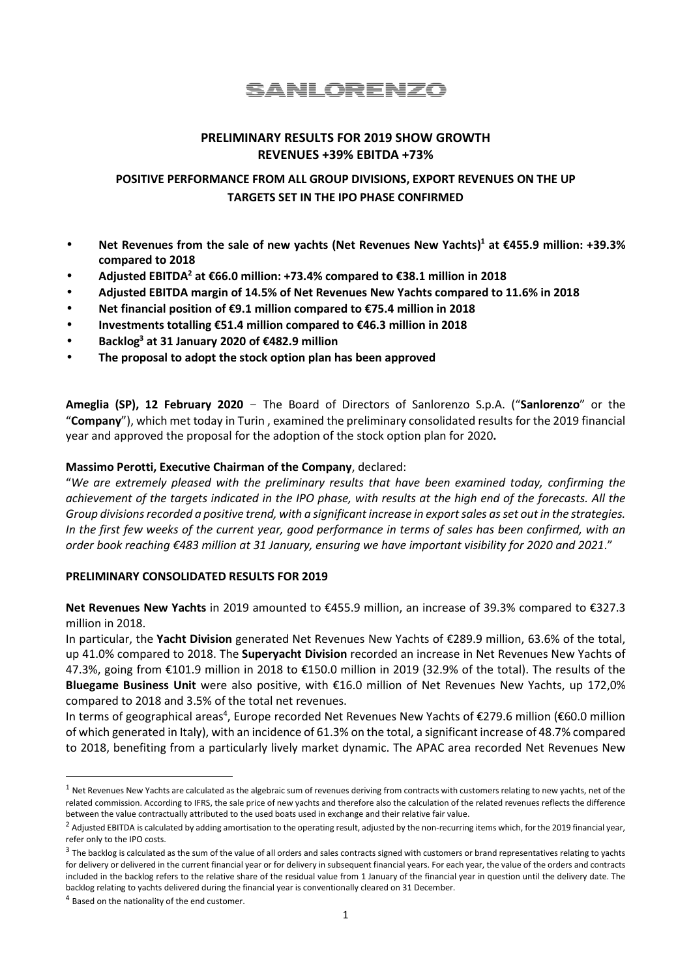SANLORENZO

## **PRELIMINARY RESULTS FOR 2019 SHOW GROWTH REVENUES +39% EBITDA +73%**

# **POSITIVE PERFORMANCE FROM ALL GROUP DIVISIONS, EXPORT REVENUES ON THE UP TARGETS SET IN THE IPO PHASE CONFIRMED**

- **Net Revenues from the sale of new yachts (Net Revenues New Yachts)<sup>1</sup> at €455.9 million: +39.3% compared to 2018**
- **Adjusted EBITDA<sup>2</sup> at €66.0 million: +73.4% compared to €38.1 million in 2018**
- **Adjusted EBITDA margin of 14.5% of Net Revenues New Yachts compared to 11.6% in 2018**
- **Net financial position of €9.1 million compared to €75.4 million in 2018**
- **Investments totalling €51.4 million compared to €46.3 million in 2018**
- **Backlog<sup>3</sup> at 31 January 2020 of €482.9 million**
- **The proposal to adopt the stock option plan has been approved**

**Ameglia (SP), 12 February 2020** - The Board of Directors of Sanlorenzo S.p.A. ("**Sanlorenzo**" or the "**Company**"), which met today in Turin , examined the preliminary consolidated results for the 2019 financial year and approved the proposal for the adoption of the stock option plan for 2020**.**

### **Massimo Perotti, Executive Chairman of the Company**, declared:

"*We are extremely pleased with the preliminary results that have been examined today, confirming the achievement of the targets indicated in the IPO phase, with results at the high end of the forecasts. All the Group divisions recorded a positive trend, with a significant increase in export sales as set out in the strategies. In the first few weeks of the current year, good performance in terms of sales has been confirmed, with an order book reaching €483 million at 31 January, ensuring we have important visibility for 2020 and 2021*."

### **PRELIMINARY CONSOLIDATED RESULTS FOR 2019**

**Net Revenues New Yachts** in 2019 amounted to €455.9 million, an increase of 39.3% compared to €327.3 million in 2018.

In particular, the **Yacht Division** generated Net Revenues New Yachts of €289.9 million, 63.6% of the total, up 41.0% compared to 2018. The **Superyacht Division** recorded an increase in Net Revenues New Yachts of 47.3%, going from €101.9 million in 2018 to €150.0 million in 2019 (32.9% of the total). The results of the **Bluegame Business Unit** were also positive, with €16.0 million of Net Revenues New Yachts, up 172,0% compared to 2018 and 3.5% of the total net revenues.

In terms of geographical areas<sup>4</sup>, Europe recorded Net Revenues New Yachts of €279.6 million (€60.0 million of which generated in Italy), with an incidence of 61.3% on the total, a significant increase of 48.7% compared to 2018, benefiting from a particularly lively market dynamic. The APAC area recorded Net Revenues New

 $1$  Net Revenues New Yachts are calculated as the algebraic sum of revenues deriving from contracts with customers relating to new yachts, net of the related commission. According to IFRS, the sale price of new yachts and therefore also the calculation of the related revenues reflects the difference between the value contractually attributed to the used boats used in exchange and their relative fair value.

<sup>&</sup>lt;sup>2</sup> Adjusted EBITDA is calculated by adding amortisation to the operating result, adjusted by the non-recurring items which, for the 2019 financial year, refer only to the IPO costs.

 $^3$  The backlog is calculated as the sum of the value of all orders and sales contracts signed with customers or brand representatives relating to yachts for delivery or delivered in the current financial year or for delivery in subsequent financial years. For each year, the value of the orders and contracts included in the backlog refers to the relative share of the residual value from 1 January of the financial year in question until the delivery date. The backlog relating to yachts delivered during the financial year is conventionally cleared on 31 December.

 $4$  Based on the nationality of the end customer.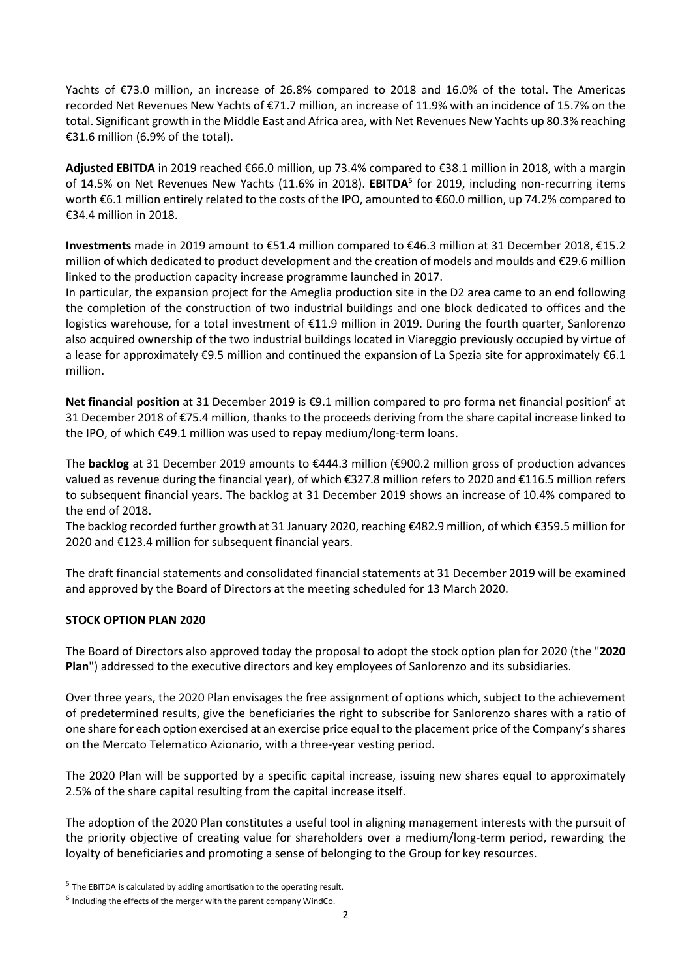Yachts of €73.0 million, an increase of 26.8% compared to 2018 and 16.0% of the total. The Americas recorded Net Revenues New Yachts of €71.7 million, an increase of 11.9% with an incidence of 15.7% on the total. Significant growth in the Middle East and Africa area, with Net Revenues New Yachts up 80.3% reaching €31.6 million (6.9% of the total).

**Adjusted EBITDA** in 2019 reached €66.0 million, up 73.4% compared to €38.1 million in 2018, with a margin of 14.5% on Net Revenues New Yachts (11.6% in 2018). **EBITDA<sup>5</sup>** for 2019, including non-recurring items worth €6.1 million entirely related to the costs of the IPO, amounted to €60.0 million, up 74.2% compared to €34.4 million in 2018.

**Investments** made in 2019 amount to €51.4 million compared to €46.3 million at 31 December 2018, €15.2 million of which dedicated to product development and the creation of models and moulds and €29.6 million linked to the production capacity increase programme launched in 2017.

In particular, the expansion project for the Ameglia production site in the D2 area came to an end following the completion of the construction of two industrial buildings and one block dedicated to offices and the logistics warehouse, for a total investment of €11.9 million in 2019. During the fourth quarter, Sanlorenzo also acquired ownership of the two industrial buildings located in Viareggio previously occupied by virtue of a lease for approximately €9.5 million and continued the expansion of La Spezia site for approximately €6.1 million.

Net financial position at 31 December 2019 is €9.1 million compared to pro forma net financial position<sup>6</sup> at 31 December 2018 of €75.4 million, thanks to the proceeds deriving from the share capital increase linked to the IPO, of which €49.1 million was used to repay medium/long-term loans.

The **backlog** at 31 December 2019 amounts to €444.3 million (€900.2 million gross of production advances valued as revenue during the financial year), of which €327.8 million refers to 2020 and €116.5 million refers to subsequent financial years. The backlog at 31 December 2019 shows an increase of 10.4% compared to the end of 2018.

The backlog recorded further growth at 31 January 2020, reaching €482.9 million, of which €359.5 million for 2020 and €123.4 million for subsequent financial years.

The draft financial statements and consolidated financial statements at 31 December 2019 will be examined and approved by the Board of Directors at the meeting scheduled for 13 March 2020.

## **STOCK OPTION PLAN 2020**

The Board of Directors also approved today the proposal to adopt the stock option plan for 2020 (the "**2020 Plan**") addressed to the executive directors and key employees of Sanlorenzo and its subsidiaries.

Over three years, the 2020 Plan envisages the free assignment of options which, subject to the achievement of predetermined results, give the beneficiaries the right to subscribe for Sanlorenzo shares with a ratio of one share for each option exercised at an exercise price equal to the placement price of the Company's shares on the Mercato Telematico Azionario, with a three-year vesting period.

The 2020 Plan will be supported by a specific capital increase, issuing new shares equal to approximately 2.5% of the share capital resulting from the capital increase itself.

The adoption of the 2020 Plan constitutes a useful tool in aligning management interests with the pursuit of the priority objective of creating value for shareholders over a medium/long-term period, rewarding the loyalty of beneficiaries and promoting a sense of belonging to the Group for key resources.

<sup>&</sup>lt;sup>5</sup> The EBITDA is calculated by adding amortisation to the operating result.

 $<sup>6</sup>$  Including the effects of the merger with the parent company WindCo.</sup>